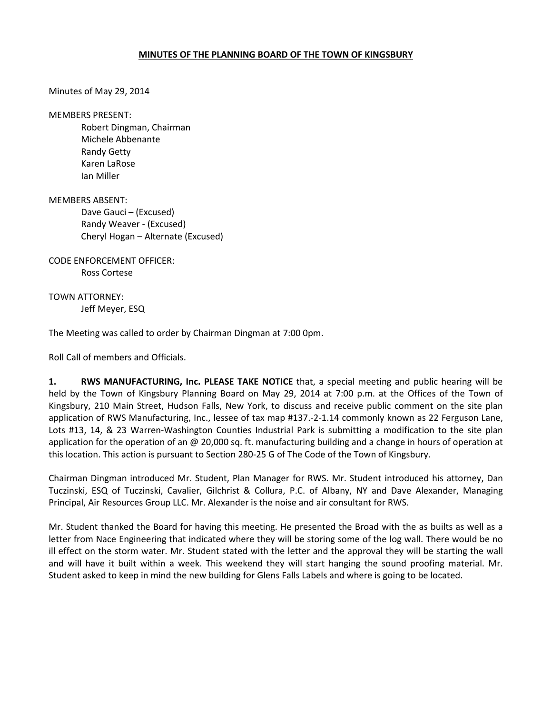## MINUTES OF THE PLANNING BOARD OF THE TOWN OF KINGSBURY

Minutes of May 29, 2014

MEMBERS PRESENT:

 Robert Dingman, Chairman Michele Abbenante Randy Getty Karen LaRose Ian Miller

MEMBERS ABSENT: Dave Gauci – (Excused) Randy Weaver - (Excused) Cheryl Hogan – Alternate (Excused)

CODE ENFORCEMENT OFFICER: Ross Cortese

TOWN ATTORNEY: Jeff Meyer, ESQ

The Meeting was called to order by Chairman Dingman at 7:00 0pm.

Roll Call of members and Officials.

1. RWS MANUFACTURING, Inc. PLEASE TAKE NOTICE that, a special meeting and public hearing will be held by the Town of Kingsbury Planning Board on May 29, 2014 at 7:00 p.m. at the Offices of the Town of Kingsbury, 210 Main Street, Hudson Falls, New York, to discuss and receive public comment on the site plan application of RWS Manufacturing, Inc., lessee of tax map #137.-2-1.14 commonly known as 22 Ferguson Lane, Lots #13, 14, & 23 Warren-Washington Counties Industrial Park is submitting a modification to the site plan application for the operation of an @ 20,000 sq. ft. manufacturing building and a change in hours of operation at this location. This action is pursuant to Section 280-25 G of The Code of the Town of Kingsbury.

Chairman Dingman introduced Mr. Student, Plan Manager for RWS. Mr. Student introduced his attorney, Dan Tuczinski, ESQ of Tuczinski, Cavalier, Gilchrist & Collura, P.C. of Albany, NY and Dave Alexander, Managing Principal, Air Resources Group LLC. Mr. Alexander is the noise and air consultant for RWS.

Mr. Student thanked the Board for having this meeting. He presented the Broad with the as builts as well as a letter from Nace Engineering that indicated where they will be storing some of the log wall. There would be no ill effect on the storm water. Mr. Student stated with the letter and the approval they will be starting the wall and will have it built within a week. This weekend they will start hanging the sound proofing material. Mr. Student asked to keep in mind the new building for Glens Falls Labels and where is going to be located.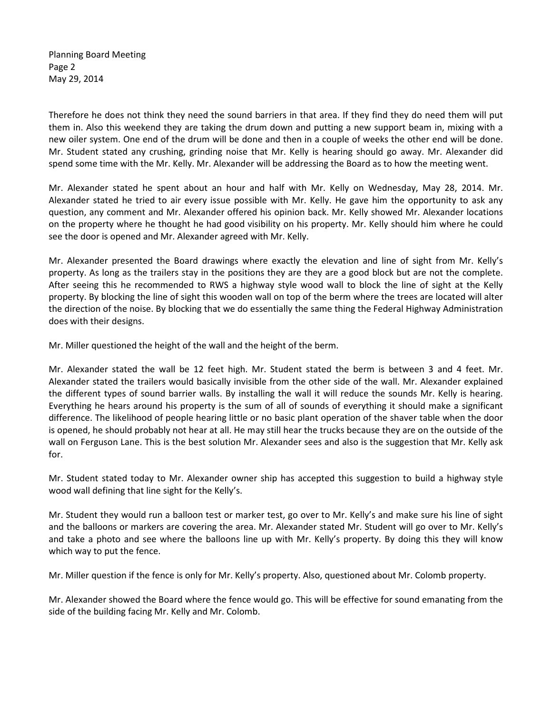Planning Board Meeting Page 2 May 29, 2014

Therefore he does not think they need the sound barriers in that area. If they find they do need them will put them in. Also this weekend they are taking the drum down and putting a new support beam in, mixing with a new oiler system. One end of the drum will be done and then in a couple of weeks the other end will be done. Mr. Student stated any crushing, grinding noise that Mr. Kelly is hearing should go away. Mr. Alexander did spend some time with the Mr. Kelly. Mr. Alexander will be addressing the Board as to how the meeting went.

Mr. Alexander stated he spent about an hour and half with Mr. Kelly on Wednesday, May 28, 2014. Mr. Alexander stated he tried to air every issue possible with Mr. Kelly. He gave him the opportunity to ask any question, any comment and Mr. Alexander offered his opinion back. Mr. Kelly showed Mr. Alexander locations on the property where he thought he had good visibility on his property. Mr. Kelly should him where he could see the door is opened and Mr. Alexander agreed with Mr. Kelly.

Mr. Alexander presented the Board drawings where exactly the elevation and line of sight from Mr. Kelly's property. As long as the trailers stay in the positions they are they are a good block but are not the complete. After seeing this he recommended to RWS a highway style wood wall to block the line of sight at the Kelly property. By blocking the line of sight this wooden wall on top of the berm where the trees are located will alter the direction of the noise. By blocking that we do essentially the same thing the Federal Highway Administration does with their designs.

Mr. Miller questioned the height of the wall and the height of the berm.

Mr. Alexander stated the wall be 12 feet high. Mr. Student stated the berm is between 3 and 4 feet. Mr. Alexander stated the trailers would basically invisible from the other side of the wall. Mr. Alexander explained the different types of sound barrier walls. By installing the wall it will reduce the sounds Mr. Kelly is hearing. Everything he hears around his property is the sum of all of sounds of everything it should make a significant difference. The likelihood of people hearing little or no basic plant operation of the shaver table when the door is opened, he should probably not hear at all. He may still hear the trucks because they are on the outside of the wall on Ferguson Lane. This is the best solution Mr. Alexander sees and also is the suggestion that Mr. Kelly ask for.

Mr. Student stated today to Mr. Alexander owner ship has accepted this suggestion to build a highway style wood wall defining that line sight for the Kelly's.

Mr. Student they would run a balloon test or marker test, go over to Mr. Kelly's and make sure his line of sight and the balloons or markers are covering the area. Mr. Alexander stated Mr. Student will go over to Mr. Kelly's and take a photo and see where the balloons line up with Mr. Kelly's property. By doing this they will know which way to put the fence.

Mr. Miller question if the fence is only for Mr. Kelly's property. Also, questioned about Mr. Colomb property.

Mr. Alexander showed the Board where the fence would go. This will be effective for sound emanating from the side of the building facing Mr. Kelly and Mr. Colomb.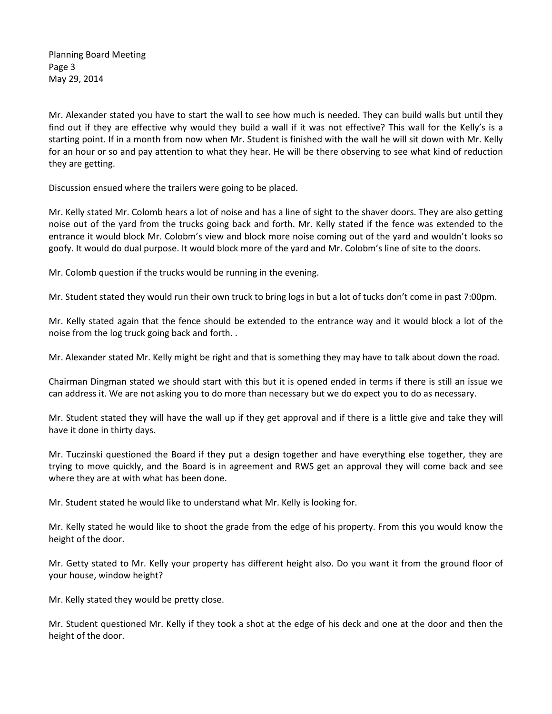Planning Board Meeting Page 3 May 29, 2014

Mr. Alexander stated you have to start the wall to see how much is needed. They can build walls but until they find out if they are effective why would they build a wall if it was not effective? This wall for the Kelly's is a starting point. If in a month from now when Mr. Student is finished with the wall he will sit down with Mr. Kelly for an hour or so and pay attention to what they hear. He will be there observing to see what kind of reduction they are getting.

Discussion ensued where the trailers were going to be placed.

Mr. Kelly stated Mr. Colomb hears a lot of noise and has a line of sight to the shaver doors. They are also getting noise out of the yard from the trucks going back and forth. Mr. Kelly stated if the fence was extended to the entrance it would block Mr. Colobm's view and block more noise coming out of the yard and wouldn't looks so goofy. It would do dual purpose. It would block more of the yard and Mr. Colobm's line of site to the doors.

Mr. Colomb question if the trucks would be running in the evening.

Mr. Student stated they would run their own truck to bring logs in but a lot of tucks don't come in past 7:00pm.

Mr. Kelly stated again that the fence should be extended to the entrance way and it would block a lot of the noise from the log truck going back and forth. .

Mr. Alexander stated Mr. Kelly might be right and that is something they may have to talk about down the road.

Chairman Dingman stated we should start with this but it is opened ended in terms if there is still an issue we can address it. We are not asking you to do more than necessary but we do expect you to do as necessary.

Mr. Student stated they will have the wall up if they get approval and if there is a little give and take they will have it done in thirty days.

Mr. Tuczinski questioned the Board if they put a design together and have everything else together, they are trying to move quickly, and the Board is in agreement and RWS get an approval they will come back and see where they are at with what has been done.

Mr. Student stated he would like to understand what Mr. Kelly is looking for.

Mr. Kelly stated he would like to shoot the grade from the edge of his property. From this you would know the height of the door.

Mr. Getty stated to Mr. Kelly your property has different height also. Do you want it from the ground floor of your house, window height?

Mr. Kelly stated they would be pretty close.

Mr. Student questioned Mr. Kelly if they took a shot at the edge of his deck and one at the door and then the height of the door.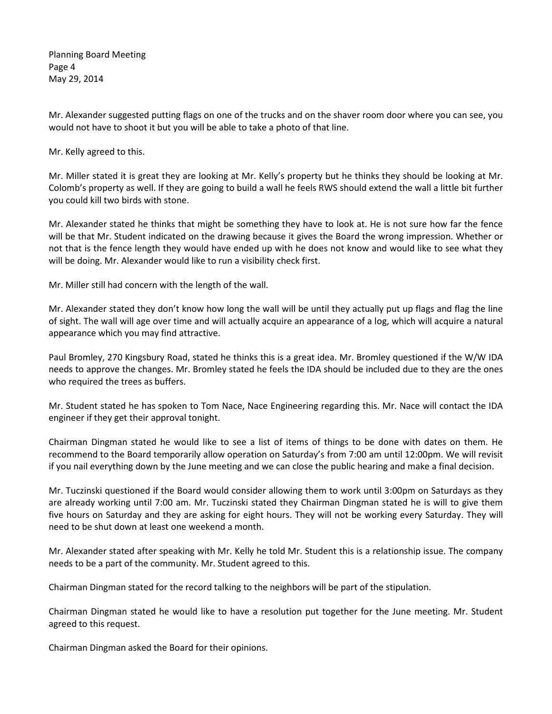Planning Board Meeting Page 4 May 29, 2014

Mr. Alexander suggested putting flags on one of the trucks and on the shaver room door where you can see, you would not have to shoot it but you will be able to take a photo of that line.

Mr. Kelly agreed to this.

Mr. Miller stated it is great they are looking at Mr. Kelly's property but he thinks they should be looking at Mr. Colomb's property as well. If they are going to build a wall he feels RWS should extend the wall a little bit further you could kill two birds with stone.

Mr. Alexander stated he thinks that might be something they have to look at. He is not sure how far the fence will be that Mr. Student indicated on the drawing because it gives the Board the wrong impression. Whether or not that is the fence length they would have ended up with he does not know and would like to see what they will be doing. Mr. Alexander would like to run a visibility check first.

Mr. Miller still had concern with the length of the wall.

Mr. Alexander stated they don't know how long the wall will be until they actually put up flags and flag the line of sight. The wall will age over time and will actually acquire an appearance of a log, which will acquire a natural appearance which you may find attractive.

Paul Bromley, 270 Kingsbury Road, stated he thinks this is a great idea. Mr. Bromley questioned if the W/W IDA needs to approve the changes. Mr. Bromley stated he feels the IDA should be included due to they are the ones who required the trees as buffers.

Mr. Student stated he has spoken to Tom Nace, Nace Engineering regarding this. Mr. Nace will contact the IDA engineer if they get their approval tonight.

Chairman Dingman stated he would like to see a list of items of things to be done with dates on them. He recommend to the Board temporarily allow operation on Saturday's from 7:00 am until 12:00pm. We will revisit if you nail everything down by the June meeting and we can close the public hearing and make a final decision.

Mr. Tuczinski questioned if the Board would consider allowing them to work until 3:00pm on Saturdays as they are already working until 7:00 am. Mr. Tuczinski stated they Chairman Dingman stated he is will to give them five hours on Saturday and they are asking for eight hours. They will not be working every Saturday. They will need to be shut down at least one weekend a month.

Mr. Alexander stated after speaking with Mr. Kelly he told Mr. Student this is a relationship issue. The company needs to be a part of the community. Mr. Student agreed to this.

Chairman Dingman stated for the record talking to the neighbors will be part of the stipulation.

Chairman Dingman stated he would like to have a resolution put together for the June meeting. Mr. Student agreed to this request.

Chairman Dingman asked the Board for their opinions.